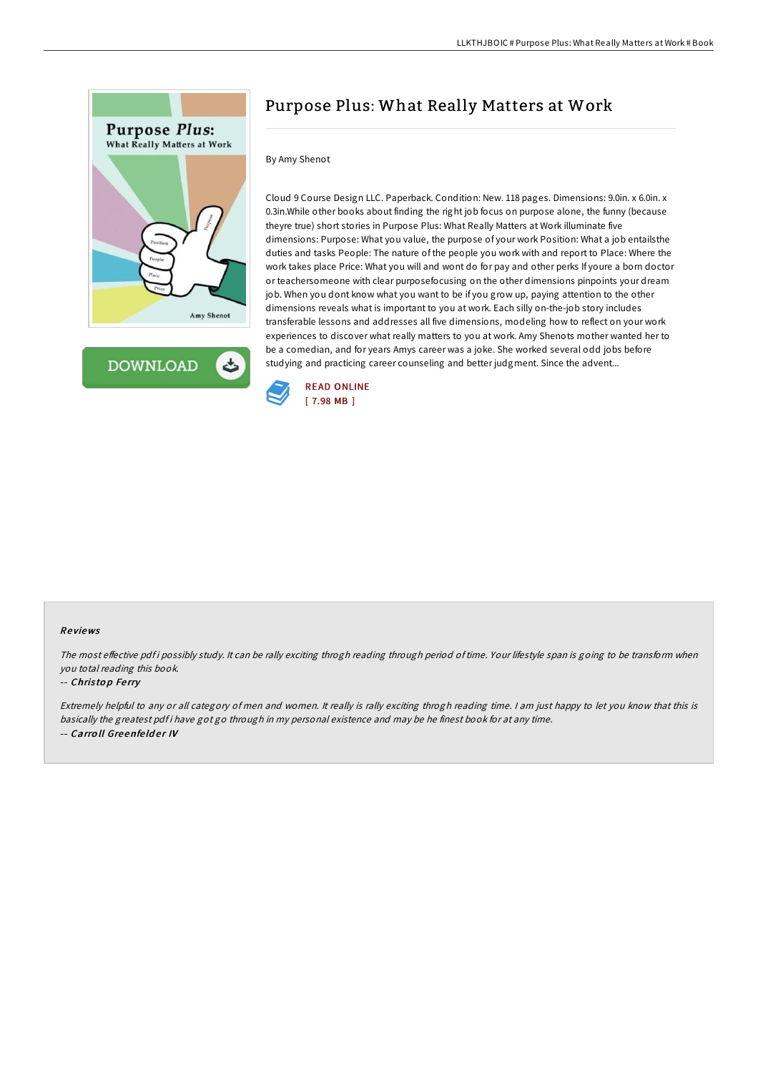

**DOWNLOAD** ٹ

# Purpose Plus: What Really Matters at Work

### By Amy Shenot

Cloud 9 Course Design LLC. Paperback. Condition: New. 118 pages. Dimensions: 9.0in. x 6.0in. x 0.3in.While other books about finding the right job focus on purpose alone, the funny (because theyre true) short stories in Purpose Plus: What Really Matters at Work illuminate five dimensions: Purpose: What you value, the purpose of your work Position: What a job entailsthe duties and tasks People: The nature of the people you work with and report to Place: Where the work takes place Price: What you will and wont do for pay and other perks If youre a born doctor or teachersomeone with clear purposefocusing on the other dimensions pinpoints your dream job. When you dont know what you want to be if you grow up, paying attention to the other dimensions reveals what is important to you at work. Each silly on-the-job story includes transferable lessons and addresses all five dimensions, modeling how to reflect on your work experiences to discover what really matters to you at work. Amy Shenots mother wanted her to be a comedian, and for years Amys career was a joke. She worked several odd jobs before studying and practicing career counseling and better judgment. Since the advent...



#### Re views

The most effective pdf i possibly study. It can be rally exciting throgh reading through period of time. Your lifestyle span is going to be transform when you total reading this book.

#### -- Christop Ferry

Extremely helpful to any or all category of men and women. It really is rally exciting throgh reading time. <sup>I</sup> am just happy to let you know that this is basically the greatest pdf i have got go through in my personal existence and may be he finest book for at any time. -- Carroll Greenfelder IV